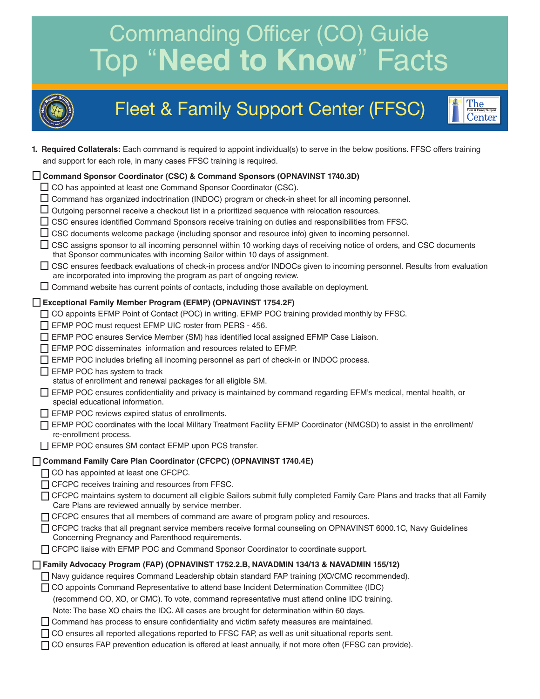# Commanding Officer (CO) Guide Top "**Need to Know**" Facts



## Fleet & Family Support Center (FFSC)



**1. Required Collaterals:** Each command is required to appoint individual(s) to serve in the below positions. FFSC offers training and support for each role, in many cases FFSC training is required.

| ◯ Command Sponsor Coordinator (CSC) & Command Sponsors (OPNAVINST 1740.3D)                                                                                                                            |
|-------------------------------------------------------------------------------------------------------------------------------------------------------------------------------------------------------|
| □ CO has appointed at least one Command Sponsor Coordinator (CSC).                                                                                                                                    |
| Command has organized indoctrination (INDOC) program or check-in sheet for all incoming personnel.                                                                                                    |
| Outgoing personnel receive a checkout list in a prioritized sequence with relocation resources.                                                                                                       |
| CSC ensures identified Command Sponsors receive training on duties and responsibilities from FFSC.                                                                                                    |
| CSC documents welcome package (including sponsor and resource info) given to incoming personnel.                                                                                                      |
| CSC assigns sponsor to all incoming personnel within 10 working days of receiving notice of orders, and CSC documents<br>that Sponsor communicates with incoming Sailor within 10 days of assignment. |
| □ CSC ensures feedback evaluations of check-in process and/or INDOCs given to incoming personnel. Results from evaluation<br>are incorporated into improving the program as part of ongoing review.   |
| $\Box$ Command website has current points of contacts, including those available on deployment.                                                                                                       |
| Exceptional Family Member Program (EFMP) (OPNAVINST 1754.2F)                                                                                                                                          |
| CO appoints EFMP Point of Contact (POC) in writing. EFMP POC training provided monthly by FFSC.<br>ΙI                                                                                                 |
| EFMP POC must request EFMP UIC roster from PERS - 456.                                                                                                                                                |
| EFMP POC ensures Service Member (SM) has identified local assigned EFMP Case Liaison.                                                                                                                 |
| EFMP POC disseminates information and resources related to EFMP.                                                                                                                                      |
| EFMP POC includes briefing all incoming personnel as part of check-in or INDOC process.                                                                                                               |
| EFMP POC has system to track                                                                                                                                                                          |
| status of enrollment and renewal packages for all eligible SM.                                                                                                                                        |
| EFMP POC ensures confidentiality and privacy is maintained by command regarding EFM's medical, mental health, or<br>special educational information.                                                  |
| EFMP POC reviews expired status of enrollments.                                                                                                                                                       |
| EFMP POC coordinates with the local Military Treatment Facility EFMP Coordinator (NMCSD) to assist in the enrollment/<br>re-enrollment process.                                                       |
| EFMP POC ensures SM contact EFMP upon PCS transfer.                                                                                                                                                   |
| Command Family Care Plan Coordinator (CFCPC) (OPNAVINST 1740.4E)                                                                                                                                      |
| □ CO has appointed at least one CFCPC.                                                                                                                                                                |
| □ CFCPC receives training and resources from FFSC.                                                                                                                                                    |
| CFCPC maintains system to document all eligible Sailors submit fully completed Family Care Plans and tracks that all Family<br>Care Plans are reviewed annually by service member.                    |
| □ CFCPC ensures that all members of command are aware of program policy and resources.                                                                                                                |
| CFCPC tracks that all pregnant service members receive formal counseling on OPNAVINST 6000.1C, Navy Guidelines<br>Concerning Pregnancy and Parenthood requirements.                                   |
| □ CFCPC liaise with EFMP POC and Command Sponsor Coordinator to coordinate support.                                                                                                                   |
| Family Advocacy Program (FAP) (OPNAVINST 1752.2.B, NAVADMIN 134/13 & NAVADMIN 155/12)                                                                                                                 |
| □ Navy guidance requires Command Leadership obtain standard FAP training (XO/CMC recommended).                                                                                                        |
| [CO appoints Command Representative to attend base Incident Determination Committee (IDC)                                                                                                             |
| (recommend CO, XO, or CMC). To vote, command representative must attend online IDC training.                                                                                                          |
| Note: The base XO chairs the IDC. All cases are brought for determination within 60 days.                                                                                                             |
| $\Box$ Command has process to ensure confidentiality and victim safety measures are maintained.                                                                                                       |
| □ CO ensures all reported allegations reported to FFSC FAP, as well as unit situational reports sent.                                                                                                 |
| □ CO ensures FAP prevention education is offered at least annually, if not more often (FFSC can provide).                                                                                             |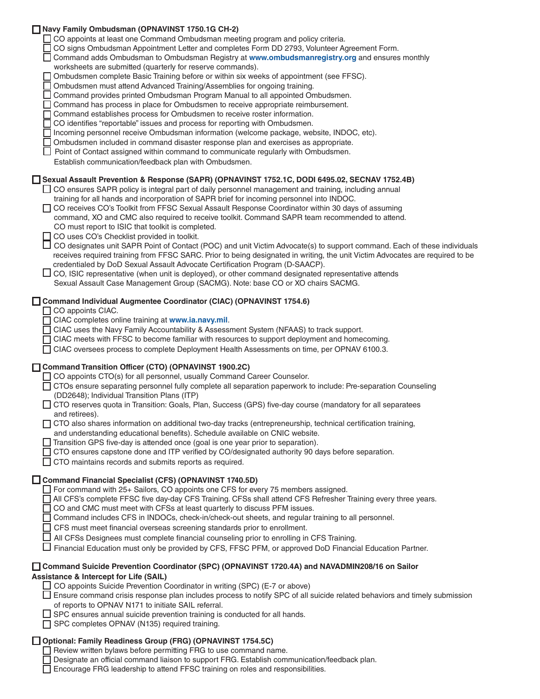| Navy Family Ombudsman (OPNAVINST 1750.1G CH-2)<br>CO appoints at least one Command Ombudsman meeting program and policy criteria.<br>CO signs Ombudsman Appointment Letter and completes Form DD 2793, Volunteer Agreement Form.<br>Command adds Ombudsman to Ombudsman Registry at www.ombudsmanregistry.org and ensures monthly<br>worksheets are submitted (quarterly for reserve commands).<br>Ombudsmen complete Basic Training before or within six weeks of appointment (see FFSC).<br>Ombudsmen must attend Advanced Training/Assemblies for ongoing training.<br>Command provides printed Ombudsman Program Manual to all appointed Ombudsmen.<br>Command has process in place for Ombudsmen to receive appropriate reimbursement.<br>Command establishes process for Ombudsmen to receive roster information.<br>CO identifies "reportable" issues and process for reporting with Ombudsmen.<br>Incoming personnel receive Ombudsman information (welcome package, website, INDOC, etc).<br>Ombudsmen included in command disaster response plan and exercises as appropriate.<br>□ Point of Contact assigned within command to communicate regularly with Ombudsmen.<br>Establish communication/feedback plan with Ombudsmen. |  |
|------------------------------------------------------------------------------------------------------------------------------------------------------------------------------------------------------------------------------------------------------------------------------------------------------------------------------------------------------------------------------------------------------------------------------------------------------------------------------------------------------------------------------------------------------------------------------------------------------------------------------------------------------------------------------------------------------------------------------------------------------------------------------------------------------------------------------------------------------------------------------------------------------------------------------------------------------------------------------------------------------------------------------------------------------------------------------------------------------------------------------------------------------------------------------------------------------------------------------------------|--|
| □ Sexual Assault Prevention & Response (SAPR) (OPNAVINST 1752.1C, DODI 6495.02, SECNAV 1752.4B)<br>□ CO ensures SAPR policy is integral part of daily personnel management and training, including annual<br>training for all hands and incorporation of SAPR brief for incoming personnel into INDOC.<br>□ CO receives CO's Toolkit from FFSC Sexual Assault Response Coordinator within 30 days of assuming<br>command, XO and CMC also required to receive toolkit. Command SAPR team recommended to attend.<br>CO must report to ISIC that toolkit is completed.<br>□ CO uses CO's Checklist provided in toolkit.<br>CO designates unit SAPR Point of Contact (POC) and unit Victim Advocate(s) to support command. Each of these individuals<br>receives required training from FFSC SARC. Prior to being designated in writing, the unit Victim Advocates are required to be<br>credentialed by DoD Sexual Assault Advocate Certification Program (D-SAACP).<br>$\Box$ CO, ISIC representative (when unit is deployed), or other command designated representative attends<br>Sexual Assault Case Management Group (SACMG). Note: base CO or XO chairs SACMG.                                                                      |  |
| Command Individual Augmentee Coordinator (CIAC) (OPNAVINST 1754.6)<br>$\Box$ CO appoints CIAC.<br>CIAC completes online training at www.ia.navy.mil.<br>CIAC uses the Navy Family Accountability & Assessment System (NFAAS) to track support.<br>CIAC meets with FFSC to become familiar with resources to support deployment and homecoming.<br>□ CIAC oversees process to complete Deployment Health Assessments on time, per OPNAV 6100.3.                                                                                                                                                                                                                                                                                                                                                                                                                                                                                                                                                                                                                                                                                                                                                                                           |  |
| Command Transition Officer (CTO) (OPNAVINST 1900.2C)<br>□ CO appoints CTO(s) for all personnel, usually Command Career Counselor.<br>□ CTOs ensure separating personnel fully complete all separation paperwork to include: Pre-separation Counseling<br>(DD2648); Individual Transition Plans (ITP)<br>□ CTO reserves quota in Transition: Goals, Plan, Success (GPS) five-day course (mandatory for all separatees<br>and retirees).<br>□ CTO also shares information on additional two-day tracks (entrepreneurship, technical certification training,<br>and understanding educational benefits). Schedule available on CNIC website.<br>$\Box$ Transition GPS five-day is attended once (goal is one year prior to separation).<br>CTO ensures capstone done and ITP verified by CO/designated authority 90 days before separation.<br>CTO maintains records and submits reports as required.                                                                                                                                                                                                                                                                                                                                       |  |
| Command Financial Specialist (CFS) (OPNAVINST 1740.5D)<br>□ For command with 25+ Sailors, CO appoints one CFS for every 75 members assigned.<br>All CFS's complete FFSC five day-day CFS Training. CFSs shall attend CFS Refresher Training every three years.<br>CO and CMC must meet with CFSs at least quarterly to discuss PFM issues.<br>Command includes CFS in INDOCs, check-in/check-out sheets, and regular training to all personnel.<br>CFS must meet financial overseas screening standards prior to enrollment.<br>All CFSs Designees must complete financial counseling prior to enrolling in CFS Training.<br>Financial Education must only be provided by CFS, FFSC PFM, or approved DoD Financial Education Partner.                                                                                                                                                                                                                                                                                                                                                                                                                                                                                                    |  |
| □ Command Suicide Prevention Coordinator (SPC) (OPNAVINST 1720.4A) and NAVADMIN208/16 on Sailor<br><b>Assistance &amp; Intercept for Life (SAIL)</b><br>□ CO appoints Suicide Prevention Coordinator in writing (SPC) (E-7 or above)<br>□ Ensure command crisis response plan includes process to notify SPC of all suicide related behaviors and timely submission<br>of reports to OPNAV N171 to initiate SAIL referral.<br>SPC ensures annual suicide prevention training is conducted for all hands.<br>□ SPC completes OPNAV (N135) required training.                                                                                                                                                                                                                                                                                                                                                                                                                                                                                                                                                                                                                                                                              |  |
| □ Optional: Family Readiness Group (FRG) (OPNAVINST 1754.5C)<br>Review written bylaws before permitting FRG to use command name.<br>Designate an official command liaison to support FRG. Establish communication/feedback plan.<br>Encourage FRG leadership to attend FFSC training on roles and responsibilities.                                                                                                                                                                                                                                                                                                                                                                                                                                                                                                                                                                                                                                                                                                                                                                                                                                                                                                                      |  |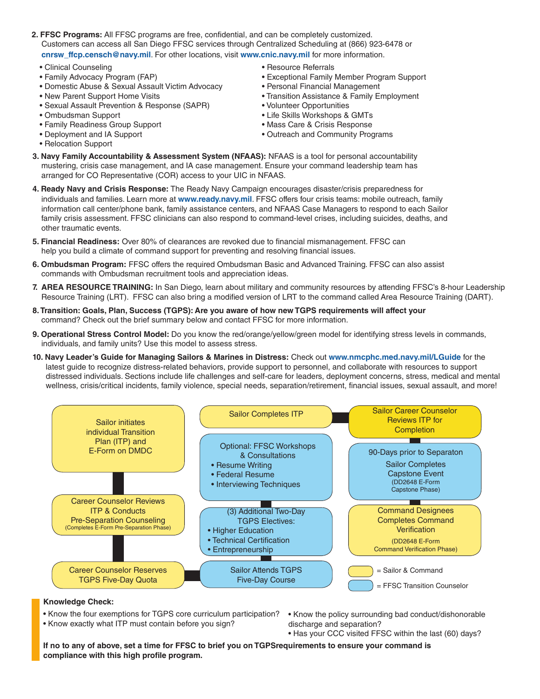- **2. FFSC Programs:** All FFSC programs are free, confidential, and can be completely customized. Customers can access all San Diego FFSC services through Centralized Scheduling at (866) 923-6478 or **cnrsw\_ffcp.censch@navy.mil**. For other locations, visit **www.cnic.navy.mil** for more information.
	- Clinical Counseling
	- Family Advocacy Program (FAP)
	- Domestic Abuse & Sexual Assault Victim Advocacy
	- New Parent Support Home Visits
	- Sexual Assault Prevention & Response (SAPR)
	- Ombudsman Support
	- Family Readiness Group Support
	- Deployment and IA Support
	- Relocation Support
- Resource Referrals
- Exceptional Family Member Program Support
- Personal Financial Management
- Transition Assistance & Family Employment
- Volunteer Opportunities
- Life Skills Workshops & GMTs
- Mass Care & Crisis Response
- Outreach and Community Programs
- **3. Navy Family Accountability & Assessment System (NFAAS):** NFAAS is a tool for personal accountability mustering, crisis case management, and IA case management. Ensure your command leadership team has arranged for CO Representative (COR) access to your UIC in NFAAS.
- **4. Ready Navy and Crisis Response:** The Ready Navy Campaign encourages disaster/crisis preparedness for individuals and families. Learn more at **www.ready.navy.mil**. FFSC offers four crisis teams: mobile outreach, family information call center/phone bank, family assistance centers, and NFAAS Case Managers to respond to each Sailor family crisis assessment. FFSC clinicians can also respond to command-level crises, including suicides, deaths, and other traumatic events.
- **5. Financial Readiness:** Over 80% of clearances are revoked due to financial mismanagement. FFSC can help you build a climate of command support for preventing and resolving financial issues.
- **6. Ombudsman Program:** FFSC offers the required Ombudsman Basic and Advanced Training. FFSC can also assist commands with Ombudsman recruitment tools and appreciation ideas.
- **7. AREA RESOURCE TRAINING:** In San Diego, learn about military and community resources by attending FFSC's 8-hour Leadership Resource Training (LRT). FFSC can also bring a modified version of LRT to the command called Area Resource Training (DART).
- **8. Transition: Goals, Plan, Success (TGPS): Are you aware of how new TGPS requirements will affect your** command? Check out the brief summary below and contact FFSC for more information.
- **9. Operational Stress Control Model:** Do you know the red/orange/yellow/green model for identifying stress levels in commands, individuals, and family units? Use this model to assess stress.
- **10. Navy Leader's Guide for Managing Sailors & Marines in Distress:** Check out **www.nmcphc.med.navy.mil/LGuide** for the latest guide to recognize distress-related behaviors, provide support to personnel, and collaborate with resources to support distressed individuals. Sections include life challenges and self-care for leaders, deployment concerns, stress, medical and mental wellness, crisis/critical incidents, family violence, special needs, separation/retirement, financial issues, sexual assault, and more!



#### **Knowledge Check:**

• Know the four exemptions for TGPS core curriculum participation?

- Know exactly what ITP must contain before you sign?
- Know the policy surrounding bad conduct/dishonorable discharge and separation?
- Has your CCC visited FFSC within the last (60) days?

**If no to any of above, set a time for FFSC to brief you on TGPSrequirements to ensure your command is compliance with this high profile program.**